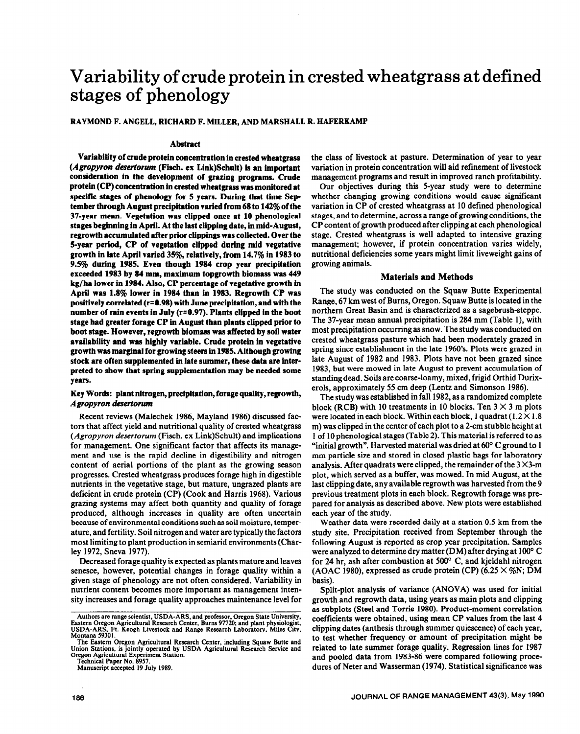# Variability of crude protein in crested wheatgrass at defined stages of phenology

#### RAYMOND F. ANGELL, RICHARD F. MILLER, AND MARSHALL R. HAFERKAMP

#### **Abstract**

**Variability of crude protein concentration in crested wheatgrass (Agropyron** *desrrtorwn* **(Fisch. ex Link)Schult) is an important consideration in the development of graxing programs. Crude protein (CP) concentration in crested wheatgrass was monitored at**  specific stages of phenology for 5 years. During that time Sep**tember through August precipitation varied from 68 to 142% of the 37-year mean. Vegetation was clipped once at 10 phenological stages beginning in April. At the last clipping date, in mid-August, regrowth accumulated after prior clippings was collected. Over the 5-year period, CP of vegetation clipped during mid vegetative growth in late April varied 35%, relatively, from 14.7% in 1983 to 9.5% during 1985. Even though 1984 crop year precipitation exceeded 1983 by 84 mm, maximum topgrowth biomass was 449 kg/ha lower in 1984. Also, CP percentage of vegetative growth in April was 1.8% lower in 1984 than in 1983. Regrowth CP was positively correlated (r=0.98) with June precipitation, and with the number of rain events in July (r=0.97). Plants clipped in the boot stage had greater forage CP in August than plants clipped prior to boot stage. However, regrowth biomass was affected by soil water availability and was highly variable. Crude protein in** vegetative **growth was marginal for growing steers in 1985. Although growing**  stock are often supplemented in late summer, these data are inter**preted to show that** spring supplementation **may be needed some years.** 

### **Key Words: plant nitrogen, precipitation, forage quality, regrowth,**  *Agropyron desertorum*

Recent reviews (Malechek 1986, Mayland 1986) discussed factors that affect yield and nutritional quality of crested wheatgrass *(Agropyron desertorum* (Fisch. ex Link)Schult) and implications for management. *One* significant factor that affects its management and use is the rapid decline in digestibility and nitrogen content of aerial portions of the plant as the growing season progresses. Crested wheatgrass produces forage high in digestible nutrients in the vegetative stage, but mature, ungrazed plants are deficient in crude protein (CP) (Cook and Harris 1968). Various grazing systems may affect both quantity and quality of forage produced, although increases in quality are often uncertain because of environmental conditions such as soil moisture, temperature, and fertility. Soil nitrogen and water are typically the factors most limiting to plant production in semiarid environments (Charley 1972, Sneva 1977).

Decreased forage quality is expected as plants mature and leaves senesce, however, potential changes in forage quality within a given stage of phenology are not often considered. Variability in nutrient content becomes more important as management intensity increases and forage quality approaches maintenance level for

**Manuscript accepted 19 July 1989.** 

the class of livestock at pasture. Determination of year to year variation in protein concentration will aid refinement of livestock management programs and result in improved ranch profitability.

Our objectives during this 5-year study were to determine whether changing growing conditions would cause significant variation in CP of crested wheatgrass at 10 defined phenological stages, and to determine, across a range of growing conditions, the CP content of growth produced after clipping at each phenological stage. Crested wheatgrass is well adapted to intensive grazing management; however, if protein concentration varies widely, nutritional deficiencies some years might limit liveweight gains of growing animals.

## **Materials and Methods**

**The** study was conducted on the Squaw Butte Experimental Range, 67 km west of Burns, Oregon. Squaw Butte is located in the northern Great Basin and is characterized as a sagebrush-steppe. The 37-year mean annual precipitation is 284 mm (Table I), with most precipitation occurring as snow. The study was conducted on crested wheatgrass pasture which had been moderately grazed in spring since establishment in the late 1960's. Plots were grazed in late August of 1982 and 1983. Plots have not been grazed since 1983, but were mowed in late August to prevent accumulation of **standing** dead. Soils are coarse-loamy, mixed, frigid Orthid Durixerols, approximately 55 cm deep (Lentz and Simonson 1986).

The study was established in fall 1982, as a randomized complete block (RCB) with 10 treatments in 10 blocks. Ten  $3 \times 3$  m plots were located in each block. Within each block, 1 quadrat  $(1.2 \times 1.8)$ m) was clipped in the center of each plot to a 2-cm stubble height at 1 of 10 phenological stages (Table 2). This material is referred to as "initial growth". Harvested material was dried at 60° C ground to 1 mm particle size and stored in closed plastic bags for laboratory analysis. After quadrats were clipped, the remainder of the  $3 \times 3$ -m plot, which served as a buffer, was mowed. In mid August, at the last clipping date, any available regrowth was harvested from the 9 previous treatment plots in each block. Regrowth forage was prepared for analysis as described above. New plots were established each year of the study.

Weather data were recorded daily at a station 0.5 km from the study site. Precipitation received from September through the following August is reported as crop year precipitation. Samples were analyzed to determine dry matter (DM) after **drying at** 100° C for 24 hr, ash after combustion at 500° C, and kjeldahl nitrogen (AOAC 1980), expressed as crude protein (CP)  $(6.25 \times \%$ N; DM basis).

Split-plot analysis of variance (ANOVA) was used for initial growth and regrowth data, using years as main plots and clipping as subplots (Steel and Torrie 1980). Product-moment correlation coefficients were obtained, using mean CP values from the last 4 clipping dates (anthesis through summer quiescence) of each year, to test whether frequency or amount of precipitation might be related to late summer forage quality. Regression lines for 1987 and pooled data from 1983-86 were compared following procedures of Neter and Wasserman (1974). Statistical significance was

Authors are range scientist, USDA-ARS, and professor, Oregon State University,<br>Eastern Oregon Agricultural Research Center, Burns 97720; and plant physiologist,<br>USDA-ARS, Ft. Keogh Livestock and Range Research Laboratory, **Montana 59301.** 

**The Eastern Oregon Agricultural Research Center, including Squaw Butte and Union Stations, is jointly operated by USDA Agricultural Research Service and**  Oregon Agricultural Experiment Station.<br>Technical Paper No. 8957.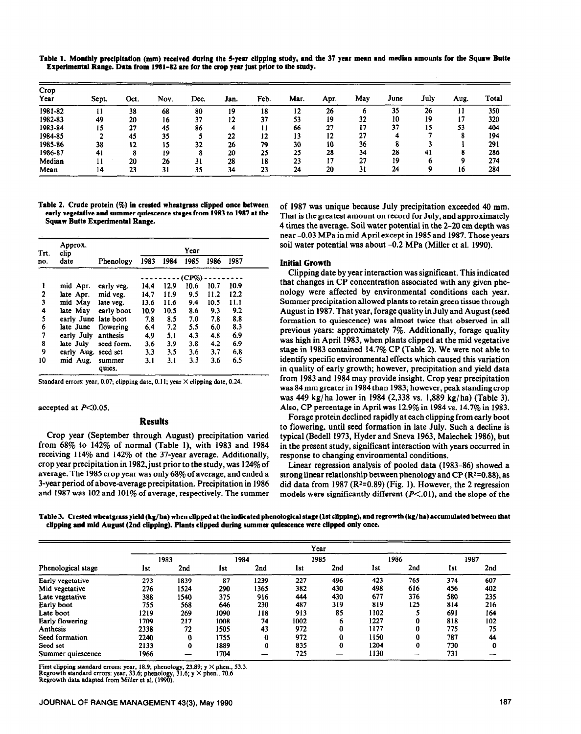| Crop    |       |      |      |      |      |      |      |      |     |      |      |      |       |
|---------|-------|------|------|------|------|------|------|------|-----|------|------|------|-------|
| Year    | Sept. | Oct. | Nov. | Dec. | Jan. | Feb. | Mar. | Apr. | May | June | July | Aug. | Total |
| 1981-82 |       | 38   | 68   | 80   | 19   | 18   | 12   | 26   |     | 35   | 26   |      | 350   |
| 1982-83 | 49    | 20   | 16   | 37   | 12   | 37   | 53   | 19   | 32  | 10   | 19   |      | 320   |
| 1983-84 | 15    | 27   | 45   | 86   |      | 11   | 66   | 27   |     | 37   | 15   | 53   | 404   |
| 1984-85 |       | 45   | 35   |      | 22   | 12   | 13   | 12   | 27  |      |      |      | 194   |
| 1985-86 | 38    | 12   | 15   | 32   | 26   | 79   | 30   | 10   | 36  |      |      |      | 291   |
| 1986-87 | 41    |      | 19   |      | 20   | 25   | 25   | 28   | 34  | 28   | -41  |      | 286   |
| Median  |       | 20   | 26   | 31   | 28   | 18   | 23   | 17   | 27  | 19   |      |      | 274   |
| Mean    | 14    | 23   | 31   | 35   | 34   | 23   | 24   | 20   | 31  | 24   |      | 10   | 284   |

**Table 1. Monthly precipitation (mm) received during the 5-year clipping study, and the 37 year mean and median amounts for the Squaw Butte Experimental Range. Data from 1981-82 are for the crop year just prior to the study.** 

**Table 2. Crude protein (%) in crested wheatgrass clipped once between early vegetative and summer quiescence stages from 1983 to 1987 at the Squaw Butte Experimental Range.** 

| Trt. | Approx.<br>clip      |                  | Year |      |       |      |      |  |
|------|----------------------|------------------|------|------|-------|------|------|--|
| no.  | date                 | Phenology        | 1983 | 1984 | 1985  | 1986 | 1987 |  |
|      |                      |                  |      |      | (CP%) |      |      |  |
| 1    | mid Apr.             | early veg.       | 14.4 | 12.9 | 10.6  | 10.7 | 10.9 |  |
| 2    | late Apr.            | mid veg.         | 14.7 | 11.9 | 9.5   | 11.2 | 12.2 |  |
| 3    | mid May              | late veg.        | 13.6 | 11.6 | 9.4   | 10.5 | 11.1 |  |
| 4    | late May             | early boot       | 10.9 | 10.5 | 8.6   | 9.3  | 9.2  |  |
| 5    | early June late boot |                  | 7.8  | 8.5  | 7.0   | 7.8  | 8.8  |  |
| 6    | late June            | flowering        | 6.4  | 7.2  | 5.5   | 6.0  | 8.3  |  |
| 7    | early July           | anthesis         | 4.9  | 5.1  | 4.3   | 4.8  | 6.9  |  |
| 8    | late July            | seed form.       | 3.6  | 3.9  | 3.8   | 4.2  | 6.9  |  |
| 9    | early Aug. seed set  |                  | 3.3  | 3.5  | 3.6   | 3.7  | 6.8  |  |
| 10   | mid Aug.             | summer<br>quies. | 3.1  | 3.1  | 3.3   | 3.6  | 6.5  |  |

Standard errors: year, 0.07; clipping date, 0.11; year  $\times$  clipping date, 0.24.

accepted at *P<O.OS.* 

#### **Results**

Crop year (September through August) precipitation varied from 68% to 142% of normal (Table l), with 1983 and 1984 receiving 114% and 142% of the 37-year average. Additionally, crop year precipitation in 1982, just prior to the study, was 124% of average. The 1985 crop year was only 68% of average, and ended a 3-year period of above-average precipitation. Precipitation in 1986 and 1987 was 102 and 101% of average, respectively. The summer of 1987 was unique because July precipitation exceeded 40 mm. That is the greatest amount on record for July, and approximately 4 times the average. Soil water potential in the 2-20 cm depth was near -0.03 MPa in mid April except in 1985 and 1987. Those years soil water potential was about -0.2 MPa (Miller et al. 1990).

#### **Initial Growth**

Clipping date by year interaction was significant. This indicated that changes in CP concentration associated with any given phenology were affected by environmental conditions each year. Summer precipitation allowed plants to retain green tissue through August in 1987. That year, forage quality in July and August (seed formation to quiescence) was almost twice that observed in all previous years: approximately 7%. Additionally, forage quality was high in April 1983, when plants clipped at the mid vegetative stage in 1983 contained 14.7% CP (Table 2). We were not able to identify specific environmental effects which caused this variation in quality of early growth; however, precipitation and yield data from 1983 and 1984 may provide insight. Crop year precipitation was 84 mm greater in 1984 than 1983; however, peak **standing** crop was 449 kg/ ha lower in 1984 (2,338 vs. 1,889 kg/ ha) (Table 3). Also, CP percentage in April was 12.9% in 1984 vs. 14.7% in 1983.

Forage protein declined rapidly at each clipping from early boot to flowering, until seed formation in late July. Such a decline is typical (Bedell 1973, Hyder and Sneva 1963, Malechek 1986), but in the present study, significant interaction with years occurred in response to changing environmental conditions.

Linear regression analysis of pooled data (1983-86) showed a strong linear relationship between phenology and  $CP (R<sup>2</sup>=0.88)$ , as did data from 1987 ( $R^2=0.89$ ) (Fig. 1). However, the 2 regression models were significantly different *(P<.Ol),* and the slope of the

**Table 3. Crested wheatgrass yield (kg/ha) when clipped at the indicated phenological stage (1st clipping), and regrowth (kg/ha) accumulated between that clipping and mid August (2nd clipping). Plants clipped during summer quiescence were clipped only once.** 

|                    | Year       |          |      |      |      |     |      |     |      |     |  |
|--------------------|------------|----------|------|------|------|-----|------|-----|------|-----|--|
|                    | 1983       |          | 1984 |      | 1985 |     | 1986 |     | 1987 |     |  |
| Phenological stage | <b>Ist</b> | 2nd      | 1st  | 2nd  | lst  | 2nd | 1st  | 2nd | 1st  | 2nd |  |
| Early vegetative   | 273        | 1839     | 87   | 1239 | 227  | 496 | 423  | 765 | 374  | 607 |  |
| Mid vegetative     | 276        | 1524     | 290  | 1365 | 382  | 430 | 498  | 616 | 456  | 402 |  |
| Late vegetative    | 388        | 1540     | 375  | 916  | 444  | 430 | 677  | 376 | 580  | 235 |  |
| Early boot         | 755        | 568      | 646  | 230  | 487  | 319 | 819  | 125 | 814  | 216 |  |
| Late boot          | 1219       | 269      | 1090 | 118  | 913  | 85  | 1102 |     | 691  | 164 |  |
| Early flowering    | 1709       | 217      | 1008 | 74   | 1002 | o   | 1227 |     | 818  | 102 |  |
| Anthesis           | 2338       | 72       | 1505 | 43   | 972  | 0   | 1177 | 0   | 775  | 75  |  |
| Seed formation     | 2240       | $\bf{0}$ | 1755 | 0    | 972  | 0   | 1150 | 0   | 787  | 44  |  |
| Seed set           | 2133       | $\bf{0}$ | 1889 | 0    | 835  | 0   | 1204 | 0   | 730  | 0   |  |
| Summer quiescence  | 1966       |          | 1704 |      | 725  |     | 1130 |     | 731  |     |  |

First clipping standard errors: year, **18.9;** phcnology, **23.89; y X** phen., 53.3. Regrowth standard errors: year, 33.6; phcnology, 31.6; y X phcn., 70.6 Regrowth data adapted from Miller et al. (1990).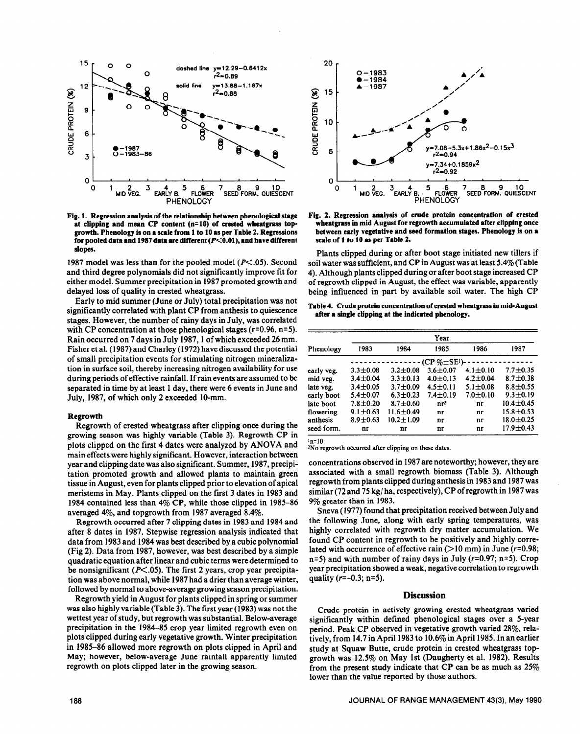

**Fig. 1. Regression analysis of the relationship between pbenological stage**  at clipping and mean CP content (n=10) of crested wheatgrass topgrowth. Phenology is on a scale from 1 to 10 as per Table 2. Regressions for pooled data and 1987 data are different ( $P<0.01$ ), and have different **slopes.** 

1987 model was less than for the pooled model **(P<.O5).** Second and third degree polynomials did not significantly improve fit for either model. Summer precipitation in 1987 promoted growth and delayed loss of quality in crested wheatgrass.

Early to mid summer (June or July) total precipitation was not significantly correlated with plant CP from anthesis to quiescence stages. However, the number of rainy days in July, was correlated with CP concentration at those phenological stages (r=0.96, n=5). Rain occurred on 7 days in July 1987, I of which exceeded 26 mm. Fisher et al. (1987) and Charley (1972) have discussed the potential of small precipitation events for stimulating nitrogen mineralization in surface soil, thereby increasing nitrogen availability for use during periods of effective rainfall. If rain events are assumed to be separated in time by at least 1 day, there were 6 events in June and July, 1987, of which only 2 exceeded IO-mm.

#### **Regrowth**

Regrowth of crested wheatgrass after clipping once during the growing season was highly variable (Table 3). Regrowth CP in plots clipped on the first 4 dates were analyzed by ANOVA and main effects were highly significant. However, interaction between year and clipping date was also significant. Summer, 1987, precipitation promoted growth and allowed plants to maintain green tissue in August, even for plants clipped prior to elevation of apical meristems in May. Plants clipped on the first 3 dates in 1983 and 1984 contained less than 4% CP, while those clipped in 1985-86 averaged 4%, and topgrowth from 1987 averaged 8.4%.

Regrowth occurred after 7 clipping dates in 1983 and 1984 and after 8 dates in 1987. Stepwise regression analysis indicated that data from 1983 and 1984 was best described by a cubic polynomial (Fig 2). Data from 1987, however, was best described by a simple quadratic equation after linear and cubic terms were determined to be nonsignificant ( $P \le 0.05$ ). The first 2 years, crop year precipitation was above normal, while 1987 had a drier than average winter, followed by normal to above-average growing season precipitation.

Regrowth yield in August for plants clipped in spring or summer was also highly variable (Table 3). The first year **(1983)** was not the wettest year of study, but regrowth was substantial. Below-average precipitation in the 1984-85 crop year limited regrowth even on plots clipped during early vegetative growth. Winter precipitation in 1985-86 allowed more regrowth on plots clipped in April and May; however, below-average June rainfall apparently limited regrowth on plots clipped later in the growing season.



**Fig. 2. Regression analysis of crude protein concentration of crested wheatgrass in mid August for regrowth accumulated after clipping once between early vegetative and seed formation stages.** Phenology is on a scale of **1 to 10 as per** Table 2.

Plants clipped during or after boot stage initiated new tillers if soil water was sufficient, and CP in August was at least 5.4% (Table 4). Although plants clipped during or after boot stage increased CP of regrowth clipped in August, the effect was variable, apparently being influenced in part by available soil water. The high CP

Table 4. Crude protein concentration **of crested wheatgrass in mid-August after a single clipping at the indicated phenology.** 

|            | Year               |                 |                 |                |                 |  |  |  |  |  |  |
|------------|--------------------|-----------------|-----------------|----------------|-----------------|--|--|--|--|--|--|
| Phenology  | 1983               | 1984            | 1985            | 1986           | 1987            |  |  |  |  |  |  |
|            | $(CP \& \pm SE^1)$ |                 |                 |                |                 |  |  |  |  |  |  |
| early veg. | $3.3 \pm 0.08$     | $3.2 \pm 0.08$  | $3.6 \pm 0.07$  | $4.1 \pm 0.10$ | $7.7 + 0.35$    |  |  |  |  |  |  |
| mid veg.   | $3.4 \pm 0.04$     | $3.3 \pm 0.13$  | $4.0 \pm 0.13$  | $4.2 \pm 0.04$ | $8.7 \pm 0.38$  |  |  |  |  |  |  |
| late veg.  | $3.4 \pm 0.05$     | $3.7 \pm 0.09$  | $4.5 \pm 0.11$  | $5.1 \pm 0.08$ | $8.8 \pm 0.55$  |  |  |  |  |  |  |
| early boot | $5.4 \pm 0.07$     | $6.3 \pm 0.23$  | $7.4 \pm 0.19$  | $7.0 \pm 0.10$ | $9.3 \pm 0.19$  |  |  |  |  |  |  |
| late boot  | $7.8 \pm 0.20$     | $8.7 \pm 0.60$  | nr <sup>2</sup> | nr             | $10.4 \pm 0.45$ |  |  |  |  |  |  |
| flowering  | $9.1 \pm 0.63$     | $11.6 \pm 0.49$ | nr              | nr             | $15.8 + 0.53$   |  |  |  |  |  |  |
| anthesis   | $8.9 \pm 0.63$     | $10.2 \pm 1.09$ | nr              | nr             | $18.0 \pm 0.25$ |  |  |  |  |  |  |
| seed form. | nr                 | nr              | nr              | nr             | $17.9 \pm 0.43$ |  |  |  |  |  |  |

'xl=10

"No regrowth occurred after clipping on **these dates.** 

concentrations observed in 1987 are noteworthy; however, they are associated with a small regrowth biomass (Table 3). Although regrowth from plants clipped during anthesis in 1983 and 1987 was similar (72 and 75 kg/ ha, respectively), CP of regrowth in 1987 was 9% greater than in 1983.

Sneva (1977) found that precipitation received between July and the following June, along with early spring temperatures, was highly correlated with regrowth dry matter accumulation. We found CP content in regrowth to be positively and highly correlated with occurrence of effective rain  $(>10$  mm) in June ( $r=0.98$ ; n=5) and with number of rainy days in July ( $r=0.97$ ; n=5). Crop year precipitation showed a weak, negative correlation to regrowth quality  $(r=-0.3; n=5)$ .

#### **Discussion**

Crude protein in actively growing crested wheatgrass varied significantly within defined phenological stages over a 5-year period. Peak CP observed in vegetative growth varied 28%, relatively, from 14.7 in April 1983 to 10.6% in April 1985. In an earlier study at Squaw Butte, crude protein in crested wheatgrass topgrowth was 12.5% on May 1st (Daugherty et al. 1982). Results from the present study indicate that CP can be as much as 25% lower than the value reported by those authors.